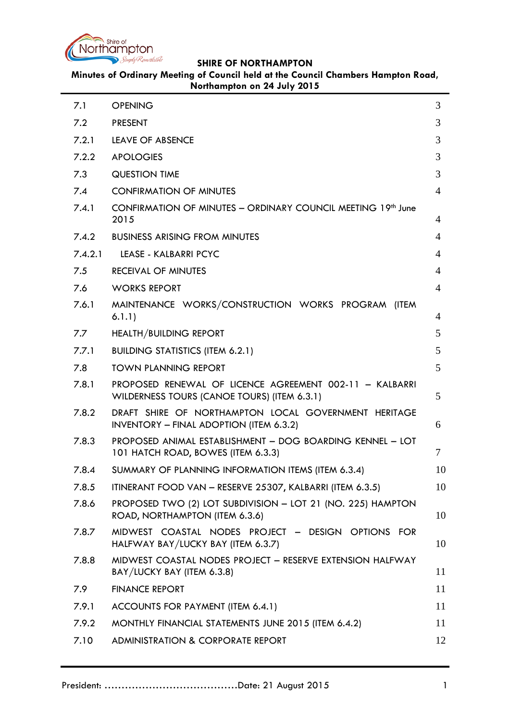

**Minutes of Ordinary Meeting of Council held at the Council Chambers Hampton Road, Northampton on 24 July 2015**

| 7.1     | <b>OPENING</b>                                                                                         | 3              |
|---------|--------------------------------------------------------------------------------------------------------|----------------|
| 7.2     | <b>PRESENT</b>                                                                                         | 3              |
| 7.2.1   | LEAVE OF ABSENCE                                                                                       | 3              |
| 7.2.2   | <b>APOLOGIES</b>                                                                                       | 3              |
| 7.3     | <b>QUESTION TIME</b>                                                                                   | 3              |
| 7.4     | <b>CONFIRMATION OF MINUTES</b>                                                                         | $\overline{4}$ |
| 7.4.1   | CONFIRMATION OF MINUTES - ORDINARY COUNCIL MEETING 19th June<br>2015                                   | 4              |
| 7.4.2   | <b>BUSINESS ARISING FROM MINUTES</b>                                                                   | 4              |
| 7.4.2.1 | LEASE - KALBARRI PCYC                                                                                  | 4              |
| 7.5     | <b>RECEIVAL OF MINUTES</b>                                                                             | 4              |
| 7.6     | <b>WORKS REPORT</b>                                                                                    | 4              |
| 7.6.1   | MAINTENANCE WORKS/CONSTRUCTION WORKS PROGRAM (ITEM<br>6.1.1)                                           | 4              |
| 7.7     | <b>HEALTH/BUILDING REPORT</b>                                                                          | 5              |
| 7.7.1   | <b>BUILDING STATISTICS (ITEM 6.2.1)</b>                                                                | 5              |
| 7.8     | <b>TOWN PLANNING REPORT</b>                                                                            | 5              |
| 7.8.1   | PROPOSED RENEWAL OF LICENCE AGREEMENT 002-11 - KALBARRI<br>WILDERNESS TOURS (CANOE TOURS) (ITEM 6.3.1) | 5              |
| 7.8.2   | DRAFT SHIRE OF NORTHAMPTON LOCAL GOVERNMENT HERITAGE<br><b>INVENTORY - FINAL ADOPTION (ITEM 6.3.2)</b> | 6              |
| 7.8.3   | PROPOSED ANIMAL ESTABLISHMENT - DOG BOARDING KENNEL - LOT<br>101 HATCH ROAD, BOWES (ITEM 6.3.3)        | 7              |
| 7.8.4   | SUMMARY OF PLANNING INFORMATION ITEMS (ITEM 6.3.4)                                                     | 10             |
| 7.8.5   | ITINERANT FOOD VAN - RESERVE 25307, KALBARRI (ITEM 6.3.5)                                              | 10             |
| 7.8.6   | PROPOSED TWO (2) LOT SUBDIVISION - LOT 21 (NO. 225) HAMPTON<br>ROAD, NORTHAMPTON (ITEM 6.3.6)          | 10             |
| 7.8.7   | MIDWEST COASTAL NODES PROJECT - DESIGN OPTIONS FOR<br>HALFWAY BAY/LUCKY BAY (ITEM 6.3.7)               | 10             |
| 7.8.8   | MIDWEST COASTAL NODES PROJECT - RESERVE EXTENSION HALFWAY<br>BAY/LUCKY BAY (ITEM 6.3.8)                | 11             |
| 7.9     | <b>FINANCE REPORT</b>                                                                                  | 11             |
| 7.9.1   | ACCOUNTS FOR PAYMENT (ITEM 6.4.1)                                                                      | 11             |
| 7.9.2   | MONTHLY FINANCIAL STATEMENTS JUNE 2015 (ITEM 6.4.2)                                                    | 11             |
| 7.10    | <b>ADMINISTRATION &amp; CORPORATE REPORT</b>                                                           | 12             |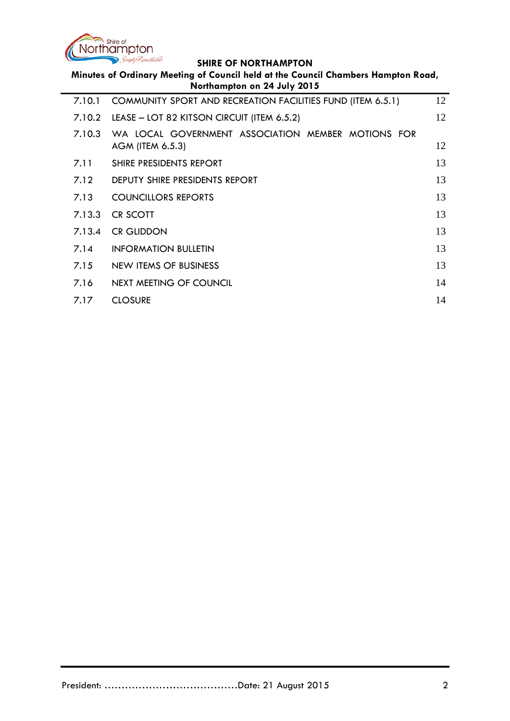

| Minutes of Ordinary Meeting of Council held at the Council Chambers Hampton Road,<br>Northampton on 24 July 2015 |                                                                        |    |  |  |
|------------------------------------------------------------------------------------------------------------------|------------------------------------------------------------------------|----|--|--|
| 7.10.1                                                                                                           | COMMUNITY SPORT AND RECREATION FACILITIES FUND (ITEM 6.5.1)            | 12 |  |  |
| 7.10.2                                                                                                           | LEASE - LOT 82 KITSON CIRCUIT (ITEM 6.5.2)                             | 12 |  |  |
| 7.10.3                                                                                                           | WA LOCAL GOVERNMENT ASSOCIATION MEMBER MOTIONS FOR<br>AGM (ITEM 6.5.3) | 12 |  |  |
| 7.11                                                                                                             | SHIRE PRESIDENTS REPORT                                                | 13 |  |  |
| 7.12                                                                                                             | DEPUTY SHIRE PRESIDENTS REPORT                                         | 13 |  |  |
| 7.13                                                                                                             | <b>COUNCILLORS REPORTS</b>                                             | 13 |  |  |
| 7.13.3                                                                                                           | CR SCOTT                                                               | 13 |  |  |
| 7.13.4                                                                                                           | <b>CR GLIDDON</b>                                                      | 13 |  |  |
| 7.14                                                                                                             | <b>INFORMATION BULLETIN</b>                                            | 13 |  |  |
| 7.15                                                                                                             | <b>NEW ITEMS OF BUSINESS</b>                                           | 13 |  |  |
| 7.16                                                                                                             | <b>NEXT MEETING OF COUNCIL</b>                                         | 14 |  |  |
| 7.17                                                                                                             | <b>CLOSURE</b>                                                         | 14 |  |  |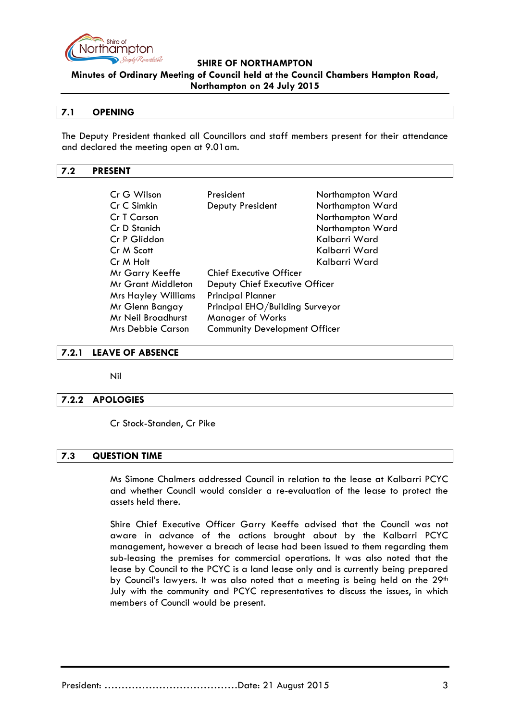

**Minutes of Ordinary Meeting of Council held at the Council Chambers Hampton Road,** 

### **Northampton on 24 July 2015**

## <span id="page-2-0"></span>**7.1 OPENING**

The Deputy President thanked all Councillors and staff members present for their attendance and declared the meeting open at 9.01am.

### <span id="page-2-1"></span>**7.2 PRESENT**

| Cr G Wilson                                                      | President                      | Northampton Ward |  |
|------------------------------------------------------------------|--------------------------------|------------------|--|
| Cr C Simkin                                                      | Deputy President               | Northampton Ward |  |
| Cr T Carson                                                      |                                | Northampton Ward |  |
| Cr D Stanich                                                     |                                | Northampton Ward |  |
| Cr P Gliddon                                                     |                                | Kalbarri Ward    |  |
| Cr M Scott                                                       |                                | Kalbarri Ward    |  |
| Cr M Holt                                                        |                                | Kalbarri Ward    |  |
| Mr Garry Keeffe                                                  | <b>Chief Executive Officer</b> |                  |  |
| Mr Grant Middleton                                               | Deputy Chief Executive Officer |                  |  |
| <b>Mrs Hayley Williams</b>                                       | <b>Principal Planner</b>       |                  |  |
| Principal EHO/Building Surveyor<br>Mr Glenn Bangay               |                                |                  |  |
| <b>Mr Neil Broadhurst</b>                                        | <b>Manager of Works</b>        |                  |  |
| <b>Community Development Officer</b><br><b>Mrs Debbie Carson</b> |                                |                  |  |

### <span id="page-2-2"></span>**7.2.1 LEAVE OF ABSENCE**

Nil

## <span id="page-2-3"></span>**7.2.2 APOLOGIES**

Cr Stock-Standen, Cr Pike

### <span id="page-2-4"></span>**7.3 QUESTION TIME**

Ms Simone Chalmers addressed Council in relation to the lease at Kalbarri PCYC and whether Council would consider a re-evaluation of the lease to protect the assets held there.

Shire Chief Executive Officer Garry Keeffe advised that the Council was not aware in advance of the actions brought about by the Kalbarri PCYC management, however a breach of lease had been issued to them regarding them sub-leasing the premises for commercial operations. It was also noted that the lease by Council to the PCYC is a land lease only and is currently being prepared by Council's lawyers. It was also noted that a meeting is being held on the 29<sup>th</sup> July with the community and PCYC representatives to discuss the issues, in which members of Council would be present.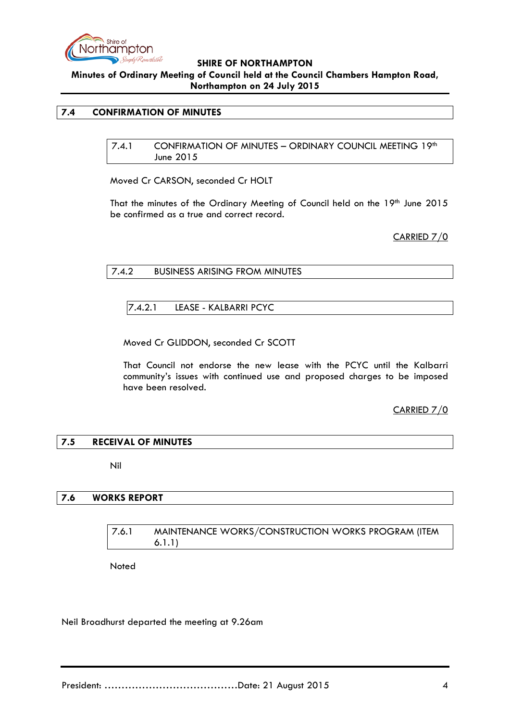

**Minutes of Ordinary Meeting of Council held at the Council Chambers Hampton Road, Northampton on 24 July 2015**

### <span id="page-3-1"></span><span id="page-3-0"></span>**7.4 CONFIRMATION OF MINUTES**

7.4.1 CONFIRMATION OF MINUTES – ORDINARY COUNCIL MEETING 19th June 2015

Moved Cr CARSON, seconded Cr HOLT

That the minutes of the Ordinary Meeting of Council held on the 19th June 2015 be confirmed as a true and correct record.

CARRIED 7/0

<span id="page-3-3"></span><span id="page-3-2"></span>7.4.2 BUSINESS ARISING FROM MINUTES

7.4.2.1 LEASE - KALBARRI PCYC

Moved Cr GLIDDON, seconded Cr SCOTT

That Council not endorse the new lease with the PCYC until the Kalbarri community's issues with continued use and proposed charges to be imposed have been resolved.

CARRIED 7/0

## <span id="page-3-4"></span>**7.5 RECEIVAL OF MINUTES**

Nil

### <span id="page-3-6"></span><span id="page-3-5"></span>**7.6 WORKS REPORT**

7.6.1 MAINTENANCE WORKS/CONSTRUCTION WORKS PROGRAM (ITEM 6.1.1)

Noted

Neil Broadhurst departed the meeting at 9.26am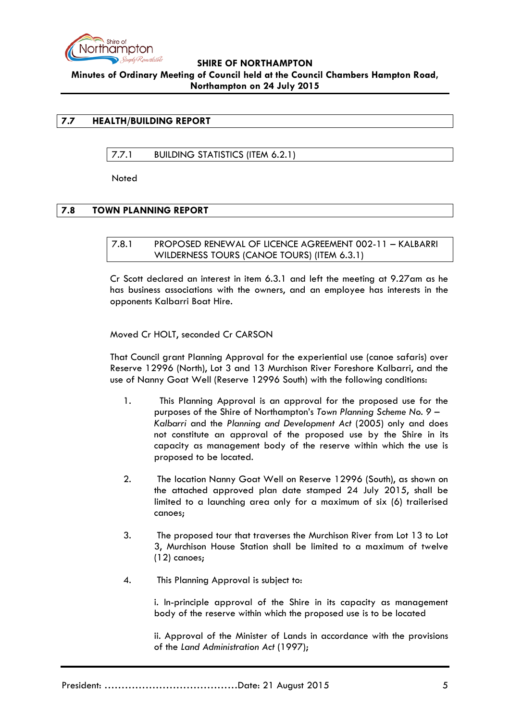

## <span id="page-4-1"></span><span id="page-4-0"></span>**7.7 HEALTH/BUILDING REPORT**

## 7.7.1 BUILDING STATISTICS (ITEM 6.2.1)

**Noted** 

## <span id="page-4-3"></span><span id="page-4-2"></span>**7.8 TOWN PLANNING REPORT**

7.8.1 PROPOSED RENEWAL OF LICENCE AGREEMENT 002-11 – KALBARRI WILDERNESS TOURS (CANOE TOURS) (ITEM 6.3.1)

Cr Scott declared an interest in item 6.3.1 and left the meeting at 9.27am as he has business associations with the owners, and an employee has interests in the opponents Kalbarri Boat Hire.

Moved Cr HOLT, seconded Cr CARSON

That Council grant Planning Approval for the experiential use (canoe safaris) over Reserve 12996 (North), Lot 3 and 13 Murchison River Foreshore Kalbarri, and the use of Nanny Goat Well (Reserve 12996 South) with the following conditions:

- 1. This Planning Approval is an approval for the proposed use for the purposes of the Shire of Northampton's *Town Planning Scheme No. 9 – Kalbarri* and the *Planning and Development Act* (2005) only and does not constitute an approval of the proposed use by the Shire in its capacity as management body of the reserve within which the use is proposed to be located.
- 2. The location Nanny Goat Well on Reserve 12996 (South), as shown on the attached approved plan date stamped 24 July 2015, shall be limited to a launching area only for a maximum of six (6) trailerised canoes;
- 3. The proposed tour that traverses the Murchison River from Lot 13 to Lot 3, Murchison House Station shall be limited to a maximum of twelve (12) canoes;
- 4. This Planning Approval is subject to:

i. In-principle approval of the Shire in its capacity as management body of the reserve within which the proposed use is to be located

ii. Approval of the Minister of Lands in accordance with the provisions of the *Land Administration Act* (1997);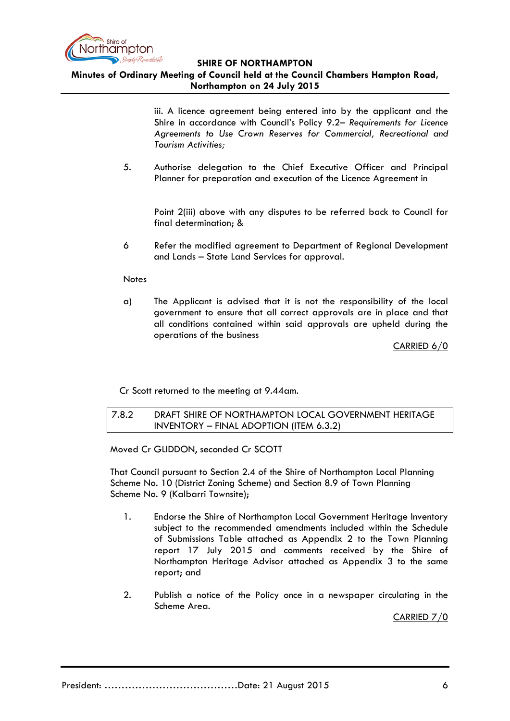

# **Minutes of Ordinary Meeting of Council held at the Council Chambers Hampton Road, Northampton on 24 July 2015**

iii. A licence agreement being entered into by the applicant and the Shire in accordance with Council's Policy 9.2– *Requirements for Licence Agreements to Use Crown Reserves for Commercial, Recreational and Tourism Activities;*

5. Authorise delegation to the Chief Executive Officer and Principal Planner for preparation and execution of the Licence Agreement in

Point 2(iii) above with any disputes to be referred back to Council for final determination; &

6 Refer the modified agreement to Department of Regional Development and Lands – State Land Services for approval.

### **Notes**

a) The Applicant is advised that it is not the responsibility of the local government to ensure that all correct approvals are in place and that all conditions contained within said approvals are upheld during the operations of the business

CARRIED 6/0

Cr Scott returned to the meeting at 9.44am.

<span id="page-5-0"></span>7.8.2 DRAFT SHIRE OF NORTHAMPTON LOCAL GOVERNMENT HERITAGE INVENTORY – FINAL ADOPTION (ITEM 6.3.2)

Moved Cr GLIDDON, seconded Cr SCOTT

That Council pursuant to Section 2.4 of the Shire of Northampton Local Planning Scheme No. 10 (District Zoning Scheme) and Section 8.9 of Town Planning Scheme No. 9 (Kalbarri Townsite);

- 1. Endorse the Shire of Northampton Local Government Heritage Inventory subject to the recommended amendments included within the Schedule of Submissions Table attached as Appendix 2 to the Town Planning report 17 July 2015 and comments received by the Shire of Northampton Heritage Advisor attached as Appendix 3 to the same report; and
- 2. Publish a notice of the Policy once in a newspaper circulating in the Scheme Area.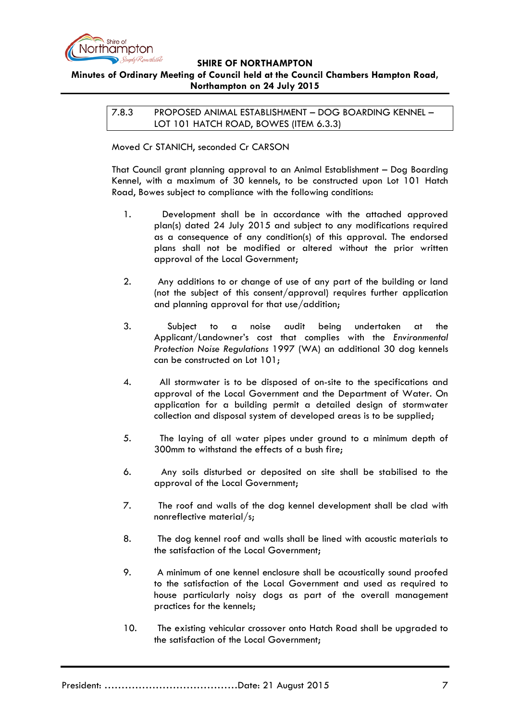

# <span id="page-6-0"></span>**Minutes of Ordinary Meeting of Council held at the Council Chambers Hampton Road, Northampton on 24 July 2015**

7.8.3 PROPOSED ANIMAL ESTABLISHMENT – DOG BOARDING KENNEL – LOT 101 HATCH ROAD, BOWES (ITEM 6.3.3)

Moved Cr STANICH, seconded Cr CARSON

That Council grant planning approval to an Animal Establishment – Dog Boarding Kennel, with a maximum of 30 kennels, to be constructed upon Lot 101 Hatch Road, Bowes subject to compliance with the following conditions:

- 1. Development shall be in accordance with the attached approved plan(s) dated 24 July 2015 and subject to any modifications required as a consequence of any condition(s) of this approval. The endorsed plans shall not be modified or altered without the prior written approval of the Local Government;
- 2. Any additions to or change of use of any part of the building or land (not the subject of this consent/approval) requires further application and planning approval for that use/addition;
- 3. Subject to a noise audit being undertaken at the Applicant/Landowner's cost that complies with the *Environmental Protection Noise Regulations* 1997 (WA) an additional 30 dog kennels can be constructed on Lot 101;
- 4. All stormwater is to be disposed of on-site to the specifications and approval of the Local Government and the Department of Water. On application for a building permit a detailed design of stormwater collection and disposal system of developed areas is to be supplied;
- 5. The laying of all water pipes under ground to a minimum depth of 300mm to withstand the effects of a bush fire;
- 6. Any soils disturbed or deposited on site shall be stabilised to the approval of the Local Government;
- 7. The roof and walls of the dog kennel development shall be clad with nonreflective material/s;
- 8. The dog kennel roof and walls shall be lined with acoustic materials to the satisfaction of the Local Government;
- 9. A minimum of one kennel enclosure shall be acoustically sound proofed to the satisfaction of the Local Government and used as required to house particularly noisy dogs as part of the overall management practices for the kennels;
- 10. The existing vehicular crossover onto Hatch Road shall be upgraded to the satisfaction of the Local Government;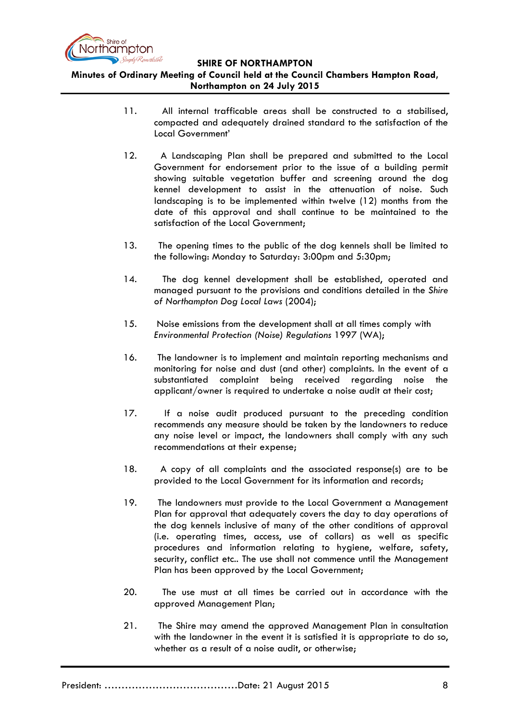

**Minutes of Ordinary Meeting of Council held at the Council Chambers Hampton Road, Northampton on 24 July 2015**

- 11. All internal trafficable areas shall be constructed to a stabilised, compacted and adequately drained standard to the satisfaction of the Local Government'
- 12. A Landscaping Plan shall be prepared and submitted to the Local Government for endorsement prior to the issue of a building permit showing suitable vegetation buffer and screening around the dog kennel development to assist in the attenuation of noise. Such landscaping is to be implemented within twelve (12) months from the date of this approval and shall continue to be maintained to the satisfaction of the Local Government;
- 13. The opening times to the public of the dog kennels shall be limited to the following: Monday to Saturday: 3:00pm and 5:30pm;
- 14. The dog kennel development shall be established, operated and managed pursuant to the provisions and conditions detailed in the *Shire of Northampton Dog Local Laws* (2004);
- 15. Noise emissions from the development shall at all times comply with *Environmental Protection (Noise) Regulations* 1997 (WA);
- 16. The landowner is to implement and maintain reporting mechanisms and monitoring for noise and dust (and other) complaints. In the event of a substantiated complaint being received regarding noise the applicant/owner is required to undertake a noise audit at their cost;
- 17. If a noise audit produced pursuant to the preceding condition recommends any measure should be taken by the landowners to reduce any noise level or impact, the landowners shall comply with any such recommendations at their expense;
- 18. A copy of all complaints and the associated response(s) are to be provided to the Local Government for its information and records;
- 19. The landowners must provide to the Local Government a Management Plan for approval that adequately covers the day to day operations of the dog kennels inclusive of many of the other conditions of approval (i.e. operating times, access, use of collars) as well as specific procedures and information relating to hygiene, welfare, safety, security, conflict etc.. The use shall not commence until the Management Plan has been approved by the Local Government;
- 20. The use must at all times be carried out in accordance with the approved Management Plan;
- 21. The Shire may amend the approved Management Plan in consultation with the landowner in the event it is satisfied it is appropriate to do so, whether as a result of a noise audit, or otherwise;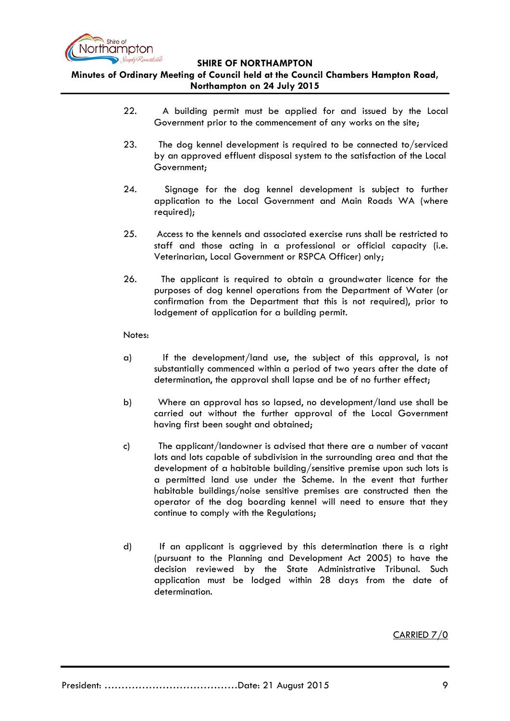

**Minutes of Ordinary Meeting of Council held at the Council Chambers Hampton Road, Northampton on 24 July 2015**

- 22. A building permit must be applied for and issued by the Local Government prior to the commencement of any works on the site;
- 23. The dog kennel development is required to be connected to/serviced by an approved effluent disposal system to the satisfaction of the Local Government;
- 24. Signage for the dog kennel development is subject to further application to the Local Government and Main Roads WA (where required);
- 25. Access to the kennels and associated exercise runs shall be restricted to staff and those acting in a professional or official capacity (i.e. Veterinarian, Local Government or RSPCA Officer) only;
- 26. The applicant is required to obtain a groundwater licence for the purposes of dog kennel operations from the Department of Water (or confirmation from the Department that this is not required), prior to lodgement of application for a building permit.

### Notes:

- a) If the development/land use, the subject of this approval, is not substantially commenced within a period of two years after the date of determination, the approval shall lapse and be of no further effect;
- b) Where an approval has so lapsed, no development/land use shall be carried out without the further approval of the Local Government having first been sought and obtained;
- c) The applicant/landowner is advised that there are a number of vacant lots and lots capable of subdivision in the surrounding area and that the development of a habitable building/sensitive premise upon such lots is a permitted land use under the Scheme. In the event that further habitable buildings/noise sensitive premises are constructed then the operator of the dog boarding kennel will need to ensure that they continue to comply with the Regulations;
- d) If an applicant is aggrieved by this determination there is a right (pursuant to the Planning and Development Act 2005) to have the decision reviewed by the State Administrative Tribunal. Such application must be lodged within 28 days from the date of determination.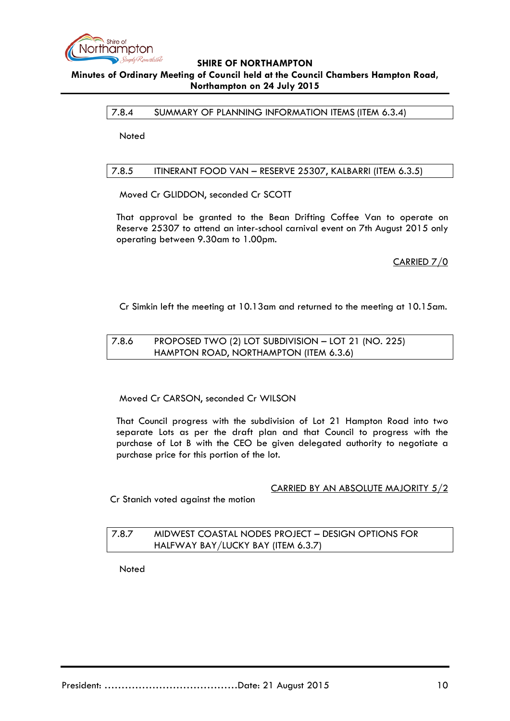

## <span id="page-9-0"></span>7.8.4 SUMMARY OF PLANNING INFORMATION ITEMS (ITEM 6.3.4)

**Noted** 

## <span id="page-9-1"></span>7.8.5 ITINERANT FOOD VAN – RESERVE 25307, KALBARRI (ITEM 6.3.5)

Moved Cr GLIDDON, seconded Cr SCOTT

That approval be granted to the Bean Drifting Coffee Van to operate on Reserve 25307 to attend an inter-school carnival event on 7th August 2015 only operating between 9.30am to 1.00pm.

CARRIED 7/0

Cr Simkin left the meeting at 10.13am and returned to the meeting at 10.15am.

## <span id="page-9-2"></span>7.8.6 PROPOSED TWO (2) LOT SUBDIVISION – LOT 21 (NO. 225) HAMPTON ROAD, NORTHAMPTON (ITEM 6.3.6)

### Moved Cr CARSON, seconded Cr WILSON

That Council progress with the subdivision of Lot 21 Hampton Road into two separate Lots as per the draft plan and that Council to progress with the purchase of Lot B with the CEO be given delegated authority to negotiate a purchase price for this portion of the lot.

### CARRIED BY AN ABSOLUTE MAJORITY 5/2

Cr Stanich voted against the motion

# <span id="page-9-3"></span>7.8.7 MIDWEST COASTAL NODES PROJECT – DESIGN OPTIONS FOR HALFWAY BAY/LUCKY BAY (ITEM 6.3.7)

**Noted**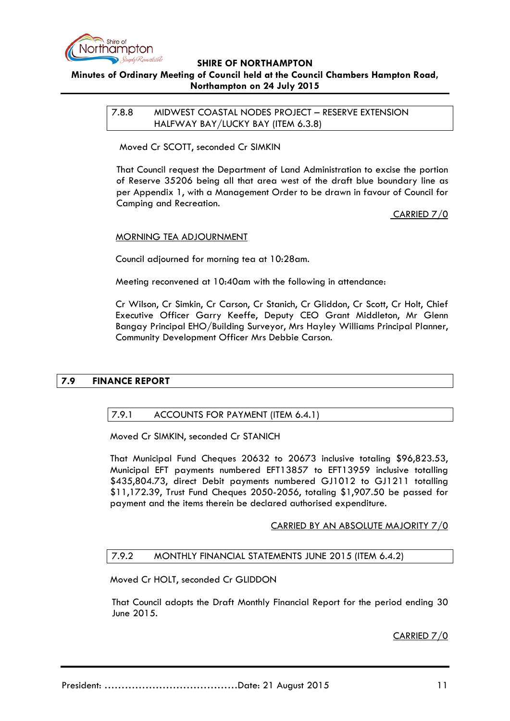

<span id="page-10-0"></span>7.8.8 MIDWEST COASTAL NODES PROJECT – RESERVE EXTENSION HALFWAY BAY/LUCKY BAY (ITEM 6.3.8)

Moved Cr SCOTT, seconded Cr SIMKIN

That Council request the Department of Land Administration to excise the portion of Reserve 35206 being all that area west of the draft blue boundary line as per Appendix 1, with a Management Order to be drawn in favour of Council for Camping and Recreation.

CARRIED 7/0

### MORNING TEA ADJOURNMENT

Council adjourned for morning tea at 10:28am.

Meeting reconvened at 10:40am with the following in attendance:

Cr Wilson, Cr Simkin, Cr Carson, Cr Stanich, Cr Gliddon, Cr Scott, Cr Holt, Chief Executive Officer Garry Keeffe, Deputy CEO Grant Middleton, Mr Glenn Bangay Principal EHO/Building Surveyor, Mrs Hayley Williams Principal Planner, Community Development Officer Mrs Debbie Carson.

## <span id="page-10-2"></span><span id="page-10-1"></span>**7.9 FINANCE REPORT**

## 7.9.1 ACCOUNTS FOR PAYMENT (ITEM 6.4.1)

Moved Cr SIMKIN, seconded Cr STANICH

That Municipal Fund Cheques 20632 to 20673 inclusive totaling \$96,823.53, Municipal EFT payments numbered EFT13857 to EFT13959 inclusive totalling \$435,804.73, direct Debit payments numbered GJ1012 to GJ1211 totalling \$11,172.39, Trust Fund Cheques 2050-2056, totaling \$1,907.50 be passed for payment and the items therein be declared authorised expenditure.

### CARRIED BY AN ABSOLUTE MAJORITY 7/0

### <span id="page-10-3"></span>7.9.2 MONTHLY FINANCIAL STATEMENTS JUNE 2015 (ITEM 6.4.2)

Moved Cr HOLT, seconded Cr GLIDDON

That Council adopts the Draft Monthly Financial Report for the period ending 30 June 2015.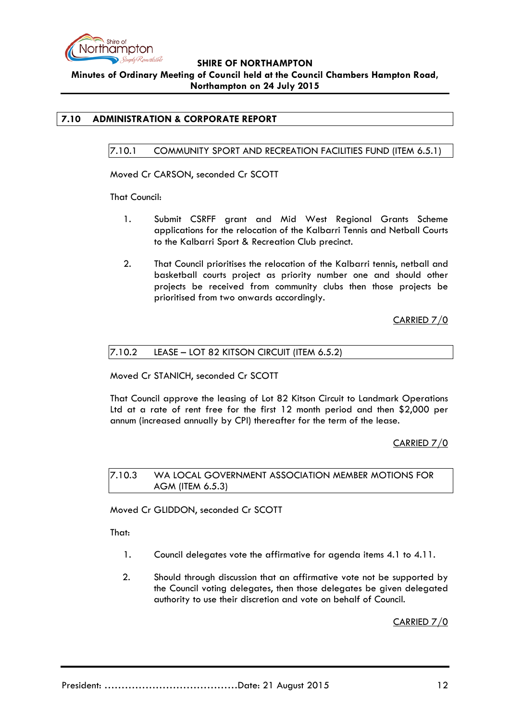

# <span id="page-11-1"></span><span id="page-11-0"></span>**7.10 ADMINISTRATION & CORPORATE REPORT**

### 7.10.1 COMMUNITY SPORT AND RECREATION FACILITIES FUND (ITEM 6.5.1)

Moved Cr CARSON, seconded Cr SCOTT

That Council:

- 1. Submit CSRFF grant and Mid West Regional Grants Scheme applications for the relocation of the Kalbarri Tennis and Netball Courts to the Kalbarri Sport & Recreation Club precinct.
- 2. That Council prioritises the relocation of the Kalbarri tennis, netball and basketball courts project as priority number one and should other projects be received from community clubs then those projects be prioritised from two onwards accordingly.

CARRIED 7/0

### <span id="page-11-2"></span>7.10.2 LEASE – LOT 82 KITSON CIRCUIT (ITEM 6.5.2)

Moved Cr STANICH, seconded Cr SCOTT

That Council approve the leasing of Lot 82 Kitson Circuit to Landmark Operations Ltd at a rate of rent free for the first 12 month period and then \$2,000 per annum (increased annually by CPI) thereafter for the term of the lease.

CARRIED 7/0

<span id="page-11-3"></span>7.10.3 WA LOCAL GOVERNMENT ASSOCIATION MEMBER MOTIONS FOR AGM (ITEM 6.5.3)

Moved Cr GLIDDON, seconded Cr SCOTT

That:

- 1. Council delegates vote the affirmative for agenda items 4.1 to 4.11.
- 2. Should through discussion that an affirmative vote not be supported by the Council voting delegates, then those delegates be given delegated authority to use their discretion and vote on behalf of Council.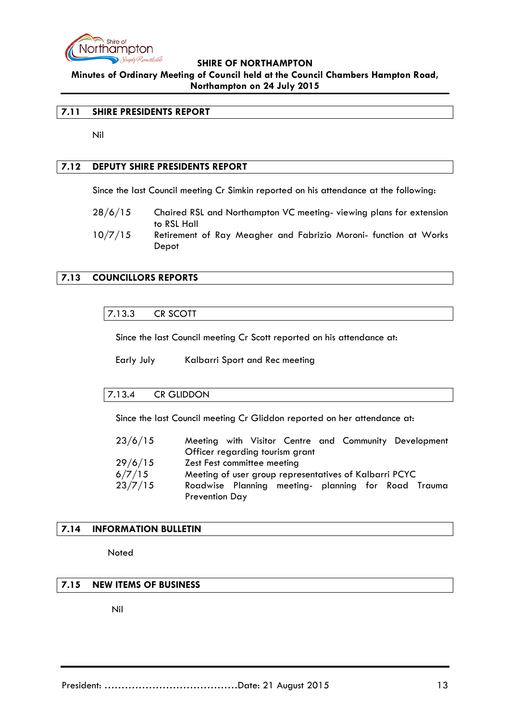

**Minutes of Ordinary Meeting of Council held at the Council Chambers Hampton Road, Northampton on 24 July 2015**

### <span id="page-12-0"></span>**7.11 SHIRE PRESIDENTS REPORT**

Nil

## <span id="page-12-1"></span>**7.12 DEPUTY SHIRE PRESIDENTS REPORT**

Since the last Council meeting Cr Simkin reported on his attendance at the following:

- 28/6/15 Chaired RSL and Northampton VC meeting- viewing plans for extension to RSL Hall
- 10/7/15 Retirement of Ray Meagher and Fabrizio Moroni- function at Works Depot

# <span id="page-12-3"></span><span id="page-12-2"></span>**7.13 COUNCILLORS REPORTS**

### 7.13.3 CR SCOTT

Since the last Council meeting Cr Scott reported on his attendance at:

Early July Kalbarri Sport and Rec meeting

### <span id="page-12-4"></span>7.13.4 CR GLIDDON

Since the last Council meeting Cr Gliddon reported on her attendance at:

| 23/6/15 | Meeting with Visitor Centre and Community Development  |
|---------|--------------------------------------------------------|
|         | Officer regarding tourism grant                        |
| 29/6/15 | Zest Fest committee meeting                            |
| 6/7/15  | Meeting of user group representatives of Kalbarri PCYC |
| 23/7/15 | Roadwise Planning meeting- planning for Road Trauma    |
|         | <b>Prevention Day</b>                                  |

## <span id="page-12-5"></span>**7.14 INFORMATION BULLETIN**

**Noted** 

## <span id="page-12-6"></span>**7.15 NEW ITEMS OF BUSINESS**

Nil